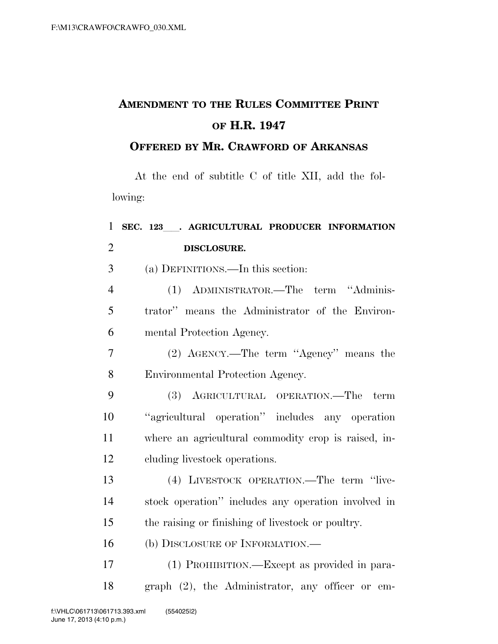## **AMENDMENT TO THE RULES COMMITTEE PRINT OF H.R. 1947**

## **OFFERED BY MR. CRAWFORD OF ARKANSAS**

At the end of subtitle C of title XII, add the following:

| $\mathbf{1}$   | SEC. 123 . AGRICULTURAL PRODUCER INFORMATION        |
|----------------|-----------------------------------------------------|
| $\overline{2}$ | DISCLOSURE.                                         |
| 3              | (a) DEFINITIONS.—In this section:                   |
| $\overline{4}$ | (1) ADMINISTRATOR.—The term "Adminis-               |
| 5              | trator" means the Administrator of the Environ-     |
| 6              | mental Protection Agency.                           |
| $\overline{7}$ | (2) AGENCY.—The term "Agency" means the             |
| 8              | Environmental Protection Agency.                    |
| 9              | (3) AGRICULTURAL OPERATION.—The<br>term             |
| 10             | "agricultural operation" includes any operation     |
| 11             | where an agricultural commodity crop is raised, in- |
| 12             | cluding livestock operations.                       |
| 13             | (4) LIVESTOCK OPERATION.—The term "live-            |
| 14             | stock operation" includes any operation involved in |
| 15             | the raising or finishing of livestock or poultry.   |
| 16             | (b) DISCLOSURE OF INFORMATION.—                     |
| 17             | (1) PROHIBITION.—Except as provided in para-        |
| 18             | graph (2), the Administrator, any officer or em-    |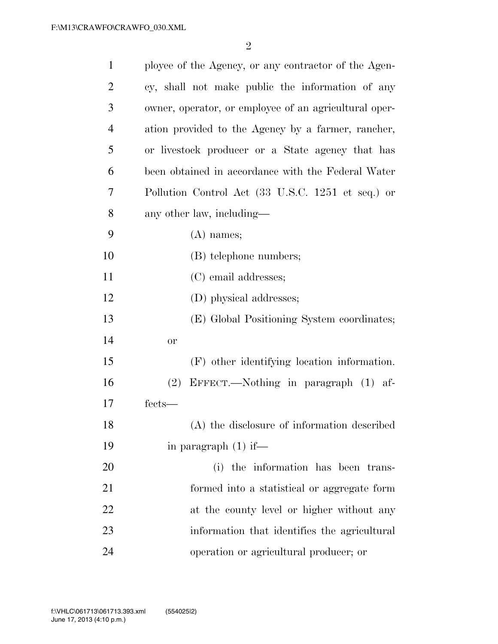| $\mathbf{1}$   | ployee of the Agency, or any contractor of the Agen-  |
|----------------|-------------------------------------------------------|
| $\overline{2}$ | cy, shall not make public the information of any      |
| 3              | owner, operator, or employee of an agricultural oper- |
| $\overline{4}$ | ation provided to the Agency by a farmer, rancher,    |
| 5              | or livestock producer or a State agency that has      |
| 6              | been obtained in accordance with the Federal Water    |
| 7              | Pollution Control Act (33 U.S.C. 1251 et seq.) or     |
| 8              | any other law, including-                             |
| 9              | $(A)$ names;                                          |
| 10             | (B) telephone numbers;                                |
| 11             | (C) email addresses;                                  |
| 12             | (D) physical addresses;                               |
| 13             | (E) Global Positioning System coordinates;            |
| 14             | <b>or</b>                                             |
| 15             | (F) other identifying location information.           |
| 16             | EFFECT.—Nothing in paragraph (1) af-<br>(2)           |
| 17             | fects-                                                |
| 18             | (A) the disclosure of information described           |
| 19             | in paragraph $(1)$ if—                                |
| 20             | (i) the information has been trans-                   |
| 21             | formed into a statistical or aggregate form           |
| 22             | at the county level or higher without any             |
| 23             | information that identifies the agricultural          |
| 24             | operation or agricultural producer; or                |